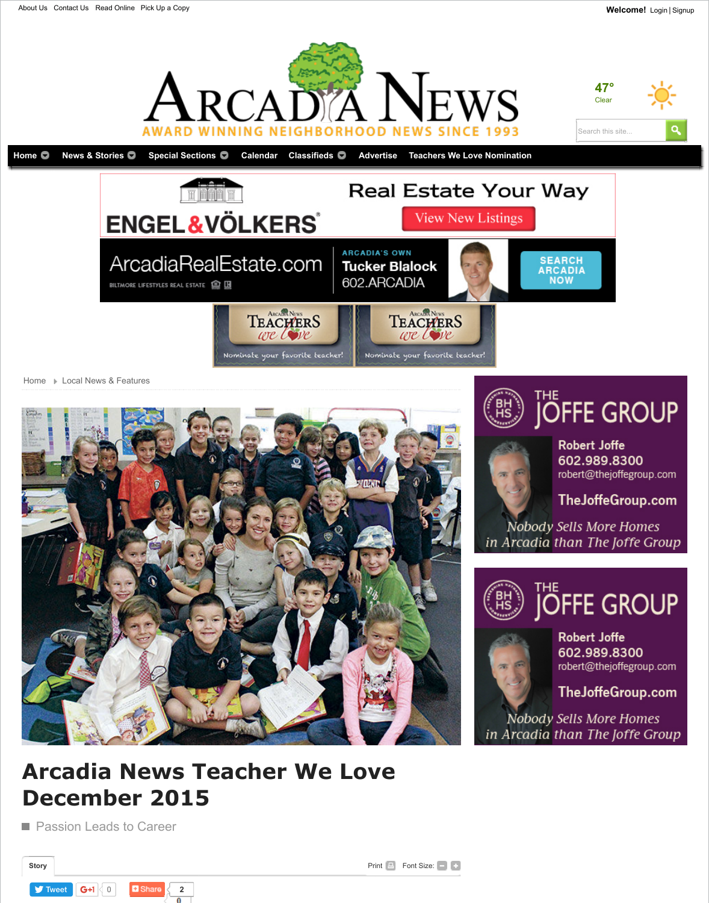

## **Arcadia News Teacher We Love December 2015**

Passion Leads to Career**Ta** 

**Story**

Print **Fund** Font Size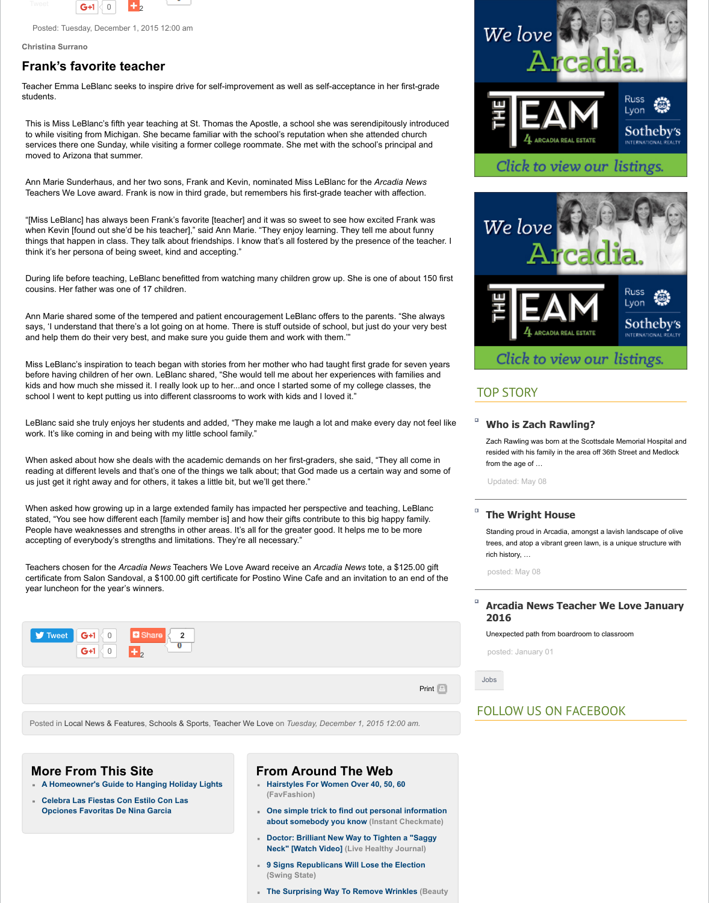Miss LeBlanc's inspiration to teach began with stories from her mother who had taught first grade for seven y before having children of her own. LeBlanc shared, "She would tell me about her experiences with families and kids and how much she missed it. I really look up to her...and once I started some of my college classes, the school I went to kept putting us into different classrooms to work with kids and I loved it."

LeBlanc said she truly enjoys her students and added, "They make me laugh a lot and make every day not feel is work. It's like coming in and being with my little school family."

When asked about how she deals with the academic demands on her first-graders, she said, "They all come reading at different levels and that's one of the things we talk about; that God made us a certain way and son us just get it right away and for others, it takes a little bit, but we'll get there."

When asked how growing up in a large extended family has impacted her perspective and teaching, LeBlanc stated, "You see how different each [family member is] and how their gifts contribute to this big happy family. People have weaknesses and strengths in other areas. It's all for the greater good. It helps me to be more accepting of everybody's strengths and limitations. They're all necessary."

Teachers chosen for the *Arcadia News* Teachers We Love Award receive an *Arcadia News* tote, a \$125.00 gi certificate from Salon Sandoval, a \$100.00 gift certificate for Postino Wine Cafe and an invitation to an end o year luncheon for the year's winners.



Print

Posted in Local News & Features, Schools & Sports, Teacher We Love on *Tuesday, December 1, 2015 12:00 am.*

## **More From This Site**

- **A Homeowner's Guide to Hanging Holiday Lights**
- **Celebra Las Fiestas Con Estilo Con Las**  $\bar{\alpha}$ **Opciones Favoritas De Nina Garcia**

## **From Around The Web**

- **Hairstyles For Women Over 40, 50, 60 (FavFashion)**
- **One simple trick to find out personal information about somebody you know (Instant Checkmate)**
- **Doctor: Brilliant New Way to Tighten a "Saggy Neck" [Watch Video] (Live Healthy Journal)**
- **9 Signs Republicans Will Lose the Election (Swing State)**
- **The Surprising Way To Remove Wrinkles (Beauty)**